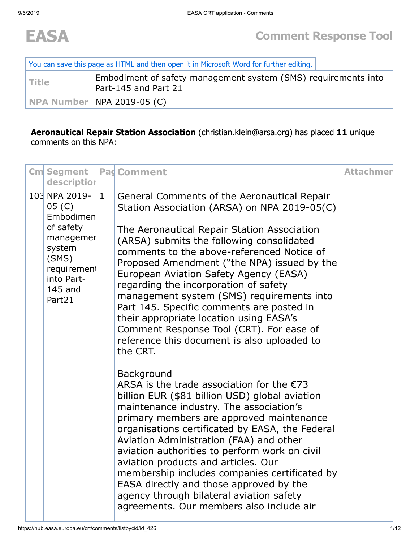

| You can save this page as HTML and then open it in Microsoft Word for further editing. |                                                                                        |  |  |  |  |  |
|----------------------------------------------------------------------------------------|----------------------------------------------------------------------------------------|--|--|--|--|--|
| <b>Title</b>                                                                           | Embodiment of safety management system (SMS) requirements into<br>Part-145 and Part 21 |  |  |  |  |  |
|                                                                                        | <b>NPA Number   NPA 2019-05 (C)</b>                                                    |  |  |  |  |  |

## **Aeronautical Repair Station Association** (christian.klein@arsa.org) has placed **11** unique comments on this NPA:

| <b>Cm</b> Segment<br>description                                                                                                    |              | <b>Pad Comment</b>                                                                                                                                                                                                                                                                                                                                                                                                                                                                                                                                                                                                  | <b>Attachmer</b> |
|-------------------------------------------------------------------------------------------------------------------------------------|--------------|---------------------------------------------------------------------------------------------------------------------------------------------------------------------------------------------------------------------------------------------------------------------------------------------------------------------------------------------------------------------------------------------------------------------------------------------------------------------------------------------------------------------------------------------------------------------------------------------------------------------|------------------|
| 103 NPA 2019-<br>05 (C)<br>Embodimen<br>of safety<br>managemer<br>system<br>(SMS)<br>requirement<br>into Part-<br>145 and<br>Part21 | $\mathbf{1}$ | General Comments of the Aeronautical Repair<br>Station Association (ARSA) on NPA 2019-05(C)<br>The Aeronautical Repair Station Association<br>(ARSA) submits the following consolidated<br>comments to the above-referenced Notice of<br>Proposed Amendment ("the NPA) issued by the<br>European Aviation Safety Agency (EASA)<br>regarding the incorporation of safety<br>management system (SMS) requirements into<br>Part 145. Specific comments are posted in<br>their appropriate location using EASA's<br>Comment Response Tool (CRT). For ease of<br>reference this document is also uploaded to<br>the CRT. |                  |
|                                                                                                                                     |              | Background<br>ARSA is the trade association for the $E$ 73<br>billion EUR (\$81 billion USD) global aviation<br>maintenance industry. The association's<br>primary members are approved maintenance<br>organisations certificated by EASA, the Federal<br>Aviation Administration (FAA) and other<br>aviation authorities to perform work on civil<br>aviation products and articles. Our<br>membership includes companies certificated by<br>EASA directly and those approved by the<br>agency through bilateral aviation safety<br>agreements. Our members also include air                                       |                  |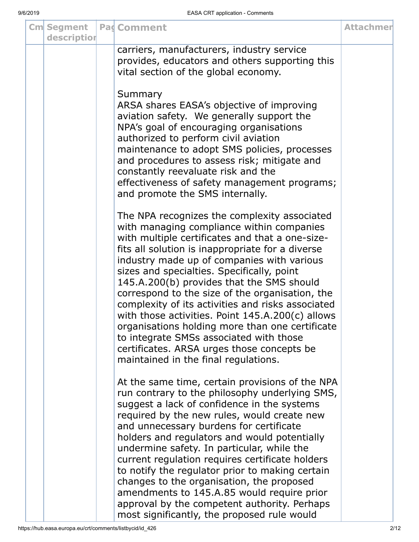| <b>Cm</b> Segment<br>description | <b>Pag Comment</b>                                                                                                                                                                                                                                                                                                                                                                                                                                                                                                                                                                                                                                                                        | <b>Attachmer</b> |
|----------------------------------|-------------------------------------------------------------------------------------------------------------------------------------------------------------------------------------------------------------------------------------------------------------------------------------------------------------------------------------------------------------------------------------------------------------------------------------------------------------------------------------------------------------------------------------------------------------------------------------------------------------------------------------------------------------------------------------------|------------------|
|                                  | carriers, manufacturers, industry service<br>provides, educators and others supporting this<br>vital section of the global economy.                                                                                                                                                                                                                                                                                                                                                                                                                                                                                                                                                       |                  |
|                                  | Summary<br>ARSA shares EASA's objective of improving<br>aviation safety. We generally support the<br>NPA's goal of encouraging organisations<br>authorized to perform civil aviation<br>maintenance to adopt SMS policies, processes<br>and procedures to assess risk; mitigate and<br>constantly reevaluate risk and the<br>effectiveness of safety management programs;<br>and promote the SMS internally.                                                                                                                                                                                                                                                                              |                  |
|                                  | The NPA recognizes the complexity associated<br>with managing compliance within companies<br>with multiple certificates and that a one-size-<br>fits all solution is inappropriate for a diverse<br>industry made up of companies with various<br>sizes and specialties. Specifically, point<br>145.A.200(b) provides that the SMS should<br>correspond to the size of the organisation, the<br>complexity of its activities and risks associated<br>with those activities. Point 145.A.200(c) allows<br>organisations holding more than one certificate<br>to integrate SMSs associated with those<br>certificates. ARSA urges those concepts be<br>maintained in the final regulations. |                  |
|                                  | At the same time, certain provisions of the NPA<br>run contrary to the philosophy underlying SMS,<br>suggest a lack of confidence in the systems<br>required by the new rules, would create new<br>and unnecessary burdens for certificate<br>holders and regulators and would potentially<br>undermine safety. In particular, while the<br>current regulation requires certificate holders<br>to notify the regulator prior to making certain<br>changes to the organisation, the proposed<br>amendments to 145.A.85 would require prior<br>approval by the competent authority. Perhaps<br>most significantly, the proposed rule would                                                  |                  |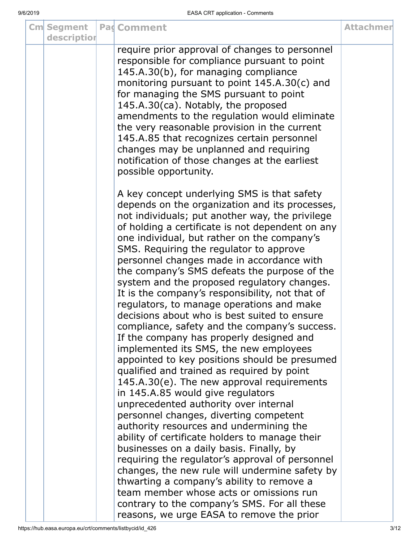|  | <b>Cm</b> Segment<br>description | <b>Pag Comment</b>                                                                                                                                                                                                                                                                                                                                                                                                                                                                                                                                                                                                                                                                                                                                                                                                                                                                                                                                                                                                                                                                                                                                                                                                                                                                                                                                                                                                                        | <b>Attachmer</b> |
|--|----------------------------------|-------------------------------------------------------------------------------------------------------------------------------------------------------------------------------------------------------------------------------------------------------------------------------------------------------------------------------------------------------------------------------------------------------------------------------------------------------------------------------------------------------------------------------------------------------------------------------------------------------------------------------------------------------------------------------------------------------------------------------------------------------------------------------------------------------------------------------------------------------------------------------------------------------------------------------------------------------------------------------------------------------------------------------------------------------------------------------------------------------------------------------------------------------------------------------------------------------------------------------------------------------------------------------------------------------------------------------------------------------------------------------------------------------------------------------------------|------------------|
|  |                                  | require prior approval of changes to personnel<br>responsible for compliance pursuant to point<br>145.A.30(b), for managing compliance<br>monitoring pursuant to point 145.A.30(c) and<br>for managing the SMS pursuant to point<br>145.A.30(ca). Notably, the proposed<br>amendments to the regulation would eliminate<br>the very reasonable provision in the current<br>145.A.85 that recognizes certain personnel<br>changes may be unplanned and requiring<br>notification of those changes at the earliest<br>possible opportunity.                                                                                                                                                                                                                                                                                                                                                                                                                                                                                                                                                                                                                                                                                                                                                                                                                                                                                                 |                  |
|  |                                  | A key concept underlying SMS is that safety<br>depends on the organization and its processes,<br>not individuals; put another way, the privilege<br>of holding a certificate is not dependent on any<br>one individual, but rather on the company's<br>SMS. Requiring the regulator to approve<br>personnel changes made in accordance with<br>the company's SMS defeats the purpose of the<br>system and the proposed regulatory changes.<br>It is the company's responsibility, not that of<br>regulators, to manage operations and make<br>decisions about who is best suited to ensure<br>compliance, safety and the company's success.<br>If the company has properly designed and<br>implemented its SMS, the new employees<br>appointed to key positions should be presumed<br>qualified and trained as required by point<br>145.A.30(e). The new approval requirements<br>in 145.A.85 would give regulators<br>unprecedented authority over internal<br>personnel changes, diverting competent<br>authority resources and undermining the<br>ability of certificate holders to manage their<br>businesses on a daily basis. Finally, by<br>requiring the regulator's approval of personnel<br>changes, the new rule will undermine safety by<br>thwarting a company's ability to remove a<br>team member whose acts or omissions run<br>contrary to the company's SMS. For all these<br>reasons, we urge EASA to remove the prior |                  |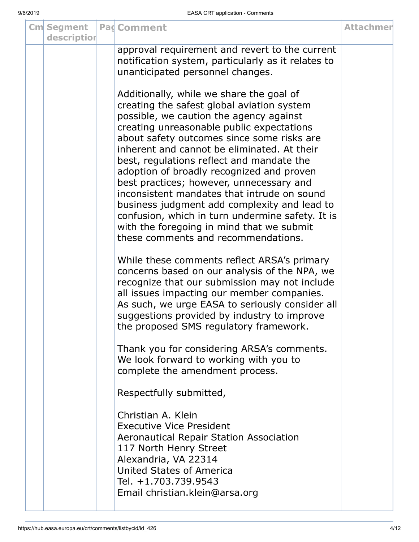| <b>Cm</b> Segment<br>description | <b>Pad Comment</b>                                                                                                                                                                                                                                                                                                                                                                                                                                                                                                                                                                                                                                       | <b>Attachmer</b> |
|----------------------------------|----------------------------------------------------------------------------------------------------------------------------------------------------------------------------------------------------------------------------------------------------------------------------------------------------------------------------------------------------------------------------------------------------------------------------------------------------------------------------------------------------------------------------------------------------------------------------------------------------------------------------------------------------------|------------------|
|                                  | approval requirement and revert to the current<br>notification system, particularly as it relates to<br>unanticipated personnel changes.                                                                                                                                                                                                                                                                                                                                                                                                                                                                                                                 |                  |
|                                  | Additionally, while we share the goal of<br>creating the safest global aviation system<br>possible, we caution the agency against<br>creating unreasonable public expectations<br>about safety outcomes since some risks are<br>inherent and cannot be eliminated. At their<br>best, regulations reflect and mandate the<br>adoption of broadly recognized and proven<br>best practices; however, unnecessary and<br>inconsistent mandates that intrude on sound<br>business judgment add complexity and lead to<br>confusion, which in turn undermine safety. It is<br>with the foregoing in mind that we submit<br>these comments and recommendations. |                  |
|                                  | While these comments reflect ARSA's primary<br>concerns based on our analysis of the NPA, we<br>recognize that our submission may not include<br>all issues impacting our member companies.<br>As such, we urge EASA to seriously consider all<br>suggestions provided by industry to improve<br>the proposed SMS regulatory framework.                                                                                                                                                                                                                                                                                                                  |                  |
|                                  | Thank you for considering ARSA's comments.<br>We look forward to working with you to<br>complete the amendment process.                                                                                                                                                                                                                                                                                                                                                                                                                                                                                                                                  |                  |
|                                  | Respectfully submitted,                                                                                                                                                                                                                                                                                                                                                                                                                                                                                                                                                                                                                                  |                  |
|                                  | Christian A. Klein<br><b>Executive Vice President</b><br>Aeronautical Repair Station Association<br>117 North Henry Street<br>Alexandria, VA 22314<br>United States of America<br>Tel. +1.703.739.9543<br>Email christian.klein@arsa.org                                                                                                                                                                                                                                                                                                                                                                                                                 |                  |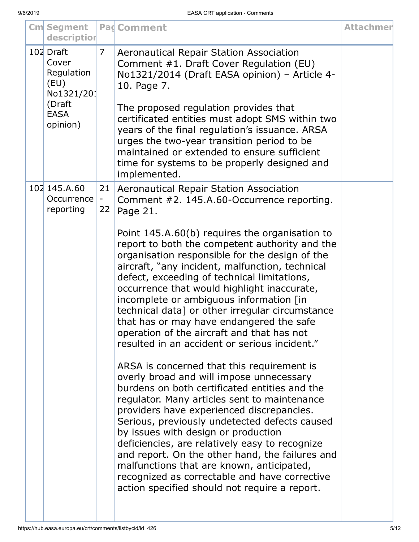| <b>Cm</b> Segment<br>description                                                            |                | <b>Pad Comment</b>                                                                                                                                                                                                                                                                                                                                                                                                                                                                                                                                                               | <b>Attachmer</b> |
|---------------------------------------------------------------------------------------------|----------------|----------------------------------------------------------------------------------------------------------------------------------------------------------------------------------------------------------------------------------------------------------------------------------------------------------------------------------------------------------------------------------------------------------------------------------------------------------------------------------------------------------------------------------------------------------------------------------|------------------|
| 102 Draft<br>Cover<br>Regulation<br>(EU)<br>No1321/201<br>(Draft<br><b>EASA</b><br>opinion) | $\overline{7}$ | Aeronautical Repair Station Association<br>Comment #1. Draft Cover Regulation (EU)<br>No1321/2014 (Draft EASA opinion) - Article 4-<br>10. Page 7.<br>The proposed regulation provides that<br>certificated entities must adopt SMS within two<br>years of the final regulation's issuance. ARSA<br>urges the two-year transition period to be<br>maintained or extended to ensure sufficient<br>time for systems to be properly designed and<br>implemented.                                                                                                                    |                  |
| 102 145.A.60<br>Occurrence<br>reporting                                                     | 21<br>22       | Aeronautical Repair Station Association<br>Comment #2. 145.A.60-Occurrence reporting.<br>Page 21.                                                                                                                                                                                                                                                                                                                                                                                                                                                                                |                  |
|                                                                                             |                | Point 145.A.60(b) requires the organisation to<br>report to both the competent authority and the<br>organisation responsible for the design of the<br>aircraft, "any incident, malfunction, technical<br>defect, exceeding of technical limitations,<br>occurrence that would highlight inaccurate,<br>incomplete or ambiguous information [in<br>technical data] or other irregular circumstance<br>that has or may have endangered the safe<br>operation of the aircraft and that has not<br>resulted in an accident or serious incident."                                     |                  |
|                                                                                             |                | ARSA is concerned that this requirement is<br>overly broad and will impose unnecessary<br>burdens on both certificated entities and the<br>regulator. Many articles sent to maintenance<br>providers have experienced discrepancies.<br>Serious, previously undetected defects caused<br>by issues with design or production<br>deficiencies, are relatively easy to recognize<br>and report. On the other hand, the failures and<br>malfunctions that are known, anticipated,<br>recognized as correctable and have corrective<br>action specified should not require a report. |                  |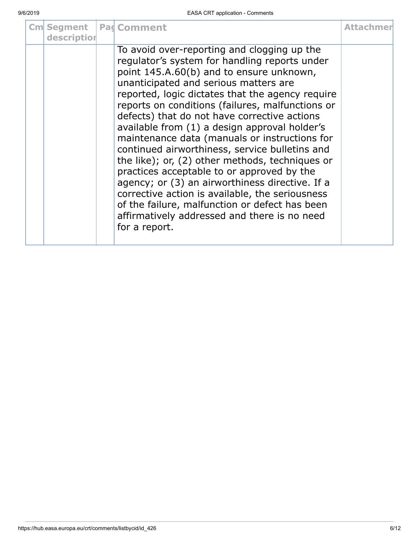| <b>Cm</b> Segment<br>description | <b>Pag Comment</b>                                                                                                                                                                                                                                                                                                                                                                                                                                                                                                                                                                                                                                                                                                                                                                                                      | <b>Attachmer</b> |
|----------------------------------|-------------------------------------------------------------------------------------------------------------------------------------------------------------------------------------------------------------------------------------------------------------------------------------------------------------------------------------------------------------------------------------------------------------------------------------------------------------------------------------------------------------------------------------------------------------------------------------------------------------------------------------------------------------------------------------------------------------------------------------------------------------------------------------------------------------------------|------------------|
|                                  | To avoid over-reporting and clogging up the<br>regulator's system for handling reports under<br>point 145.A.60(b) and to ensure unknown,<br>unanticipated and serious matters are<br>reported, logic dictates that the agency require<br>reports on conditions (failures, malfunctions or<br>defects) that do not have corrective actions<br>available from (1) a design approval holder's<br>maintenance data (manuals or instructions for<br>continued airworthiness, service bulletins and<br>the like); or, (2) other methods, techniques or<br>practices acceptable to or approved by the<br>agency; or (3) an airworthiness directive. If a<br>corrective action is available, the seriousness<br>of the failure, malfunction or defect has been<br>affirmatively addressed and there is no need<br>for a report. |                  |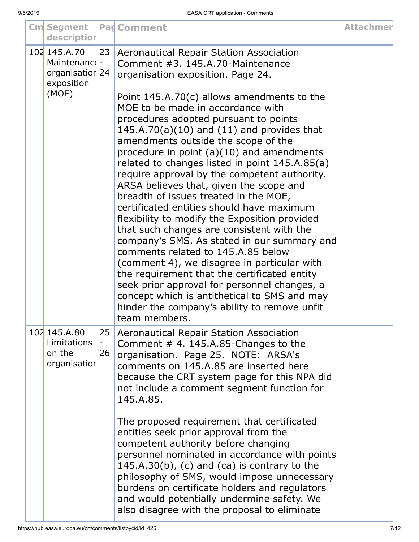| <b>Cm</b> Segment<br>description                               |          | <b>Pag Comment</b>                                                                                                                                                                                                                                                                                                                                                                                                                                                                                                                                                                                                                                                                                                                                                                                                                                                                                                                                       | <b>Attachmer</b> |
|----------------------------------------------------------------|----------|----------------------------------------------------------------------------------------------------------------------------------------------------------------------------------------------------------------------------------------------------------------------------------------------------------------------------------------------------------------------------------------------------------------------------------------------------------------------------------------------------------------------------------------------------------------------------------------------------------------------------------------------------------------------------------------------------------------------------------------------------------------------------------------------------------------------------------------------------------------------------------------------------------------------------------------------------------|------------------|
| 102 145.A.70<br>Maintenance -<br>organisatior 24<br>exposition | 23       | Aeronautical Repair Station Association<br>Comment #3, 145.A.70-Maintenance<br>organisation exposition. Page 24.                                                                                                                                                                                                                                                                                                                                                                                                                                                                                                                                                                                                                                                                                                                                                                                                                                         |                  |
| (MOE)                                                          |          | Point $145.A.70(c)$ allows amendments to the<br>MOE to be made in accordance with<br>procedures adopted pursuant to points<br>$145.A.70(a)(10)$ and $(11)$ and provides that<br>amendments outside the scope of the<br>procedure in point $(a)(10)$ and amendments<br>related to changes listed in point 145.A.85(a)<br>require approval by the competent authority.<br>ARSA believes that, given the scope and<br>breadth of issues treated in the MOE,<br>certificated entities should have maximum<br>flexibility to modify the Exposition provided<br>that such changes are consistent with the<br>company's SMS. As stated in our summary and<br>comments related to 145.A.85 below<br>(comment 4), we disagree in particular with<br>the requirement that the certificated entity<br>seek prior approval for personnel changes, a<br>concept which is antithetical to SMS and may<br>hinder the company's ability to remove unfit<br>team members. |                  |
| 102 145.A.80<br>Limitations<br>on the<br>organisation          | 25<br>26 | Aeronautical Repair Station Association<br>Comment $#$ 4. 145.A.85-Changes to the<br>organisation. Page 25. NOTE: ARSA's<br>comments on 145.A.85 are inserted here<br>because the CRT system page for this NPA did<br>not include a comment segment function for<br>145.A.85.                                                                                                                                                                                                                                                                                                                                                                                                                                                                                                                                                                                                                                                                            |                  |
|                                                                |          | The proposed requirement that certificated<br>entities seek prior approval from the<br>competent authority before changing<br>personnel nominated in accordance with points<br>$145.A.30(b)$ , (c) and (ca) is contrary to the<br>philosophy of SMS, would impose unnecessary<br>burdens on certificate holders and regulators<br>and would potentially undermine safety. We<br>also disagree with the proposal to eliminate                                                                                                                                                                                                                                                                                                                                                                                                                                                                                                                             |                  |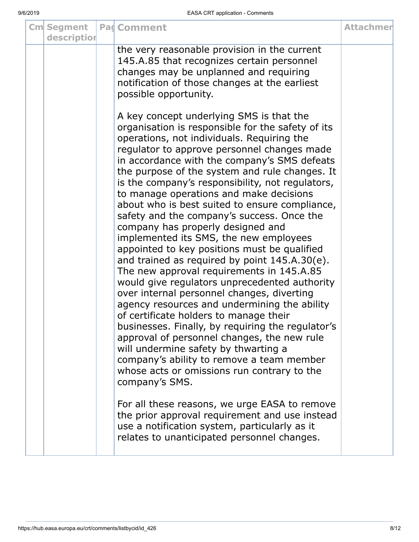| <b>Cm</b> Segment<br>description | Pad Comment                                                                                                                                                                                                                                                                                                                                                                                                                                                                                                                                                                                                                                                                                                                                                                                                                                                                                                                                                                                                                                                                                                                                                                                                                                                                                                                                                                       | <b>Attachmer</b> |
|----------------------------------|-----------------------------------------------------------------------------------------------------------------------------------------------------------------------------------------------------------------------------------------------------------------------------------------------------------------------------------------------------------------------------------------------------------------------------------------------------------------------------------------------------------------------------------------------------------------------------------------------------------------------------------------------------------------------------------------------------------------------------------------------------------------------------------------------------------------------------------------------------------------------------------------------------------------------------------------------------------------------------------------------------------------------------------------------------------------------------------------------------------------------------------------------------------------------------------------------------------------------------------------------------------------------------------------------------------------------------------------------------------------------------------|------------------|
|                                  | the very reasonable provision in the current<br>145.A.85 that recognizes certain personnel<br>changes may be unplanned and requiring<br>notification of those changes at the earliest<br>possible opportunity.                                                                                                                                                                                                                                                                                                                                                                                                                                                                                                                                                                                                                                                                                                                                                                                                                                                                                                                                                                                                                                                                                                                                                                    |                  |
|                                  | A key concept underlying SMS is that the<br>organisation is responsible for the safety of its<br>operations, not individuals. Requiring the<br>regulator to approve personnel changes made<br>in accordance with the company's SMS defeats<br>the purpose of the system and rule changes. It<br>is the company's responsibility, not regulators,<br>to manage operations and make decisions<br>about who is best suited to ensure compliance,<br>safety and the company's success. Once the<br>company has properly designed and<br>implemented its SMS, the new employees<br>appointed to key positions must be qualified<br>and trained as required by point $145.A.30(e)$ .<br>The new approval requirements in 145.A.85<br>would give regulators unprecedented authority<br>over internal personnel changes, diverting<br>agency resources and undermining the ability<br>of certificate holders to manage their<br>businesses. Finally, by requiring the regulator's<br>approval of personnel changes, the new rule<br>will undermine safety by thwarting a<br>company's ability to remove a team member<br>whose acts or omissions run contrary to the<br>company's SMS.<br>For all these reasons, we urge EASA to remove<br>the prior approval requirement and use instead<br>use a notification system, particularly as it<br>relates to unanticipated personnel changes. |                  |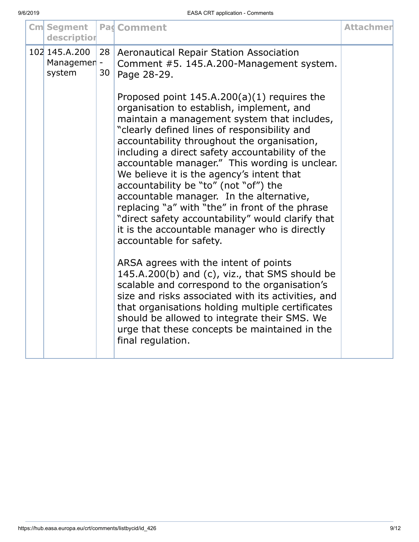| description                                                                                                                                                                                                                                                                                                                                                                                                                                                                                                                                                                                                                                                                                                                                                                                                                                                                                                                                                                                                                                     |  |
|-------------------------------------------------------------------------------------------------------------------------------------------------------------------------------------------------------------------------------------------------------------------------------------------------------------------------------------------------------------------------------------------------------------------------------------------------------------------------------------------------------------------------------------------------------------------------------------------------------------------------------------------------------------------------------------------------------------------------------------------------------------------------------------------------------------------------------------------------------------------------------------------------------------------------------------------------------------------------------------------------------------------------------------------------|--|
| 102 145.A.200<br>28<br><b>Aeronautical Repair Station Association</b><br>Managemen -<br>Comment #5. 145.A.200-Management system.<br>30<br>system<br>Page 28-29.                                                                                                                                                                                                                                                                                                                                                                                                                                                                                                                                                                                                                                                                                                                                                                                                                                                                                 |  |
| Proposed point $145.A.200(a)(1)$ requires the<br>organisation to establish, implement, and<br>maintain a management system that includes,<br>"clearly defined lines of responsibility and<br>accountability throughout the organisation,<br>including a direct safety accountability of the<br>accountable manager." This wording is unclear.<br>We believe it is the agency's intent that<br>accountability be "to" (not "of") the<br>accountable manager. In the alternative,<br>replacing "a" with "the" in front of the phrase<br>"direct safety accountability" would clarify that<br>it is the accountable manager who is directly<br>accountable for safety.<br>ARSA agrees with the intent of points<br>145.A.200(b) and (c), viz., that SMS should be<br>scalable and correspond to the organisation's<br>size and risks associated with its activities, and<br>that organisations holding multiple certificates<br>should be allowed to integrate their SMS. We<br>urge that these concepts be maintained in the<br>final regulation. |  |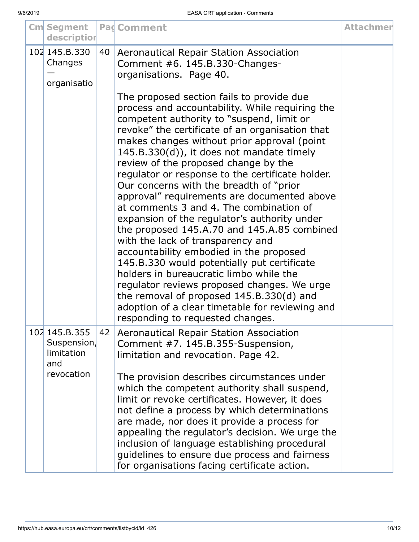| <b>Cm</b> Segment<br>description                  |    | Pag Comment                                                                                                                                                                                                                                                                                                                                                                                                                                                                                                                                                                                                                                                                                                                                                                                                                                                                                                                                                                             | <b>Attachmer</b> |
|---------------------------------------------------|----|-----------------------------------------------------------------------------------------------------------------------------------------------------------------------------------------------------------------------------------------------------------------------------------------------------------------------------------------------------------------------------------------------------------------------------------------------------------------------------------------------------------------------------------------------------------------------------------------------------------------------------------------------------------------------------------------------------------------------------------------------------------------------------------------------------------------------------------------------------------------------------------------------------------------------------------------------------------------------------------------|------------------|
| 102 145.B.330<br>Changes<br>organisatio           | 40 | Aeronautical Repair Station Association<br>Comment #6. 145.B.330-Changes-<br>organisations. Page 40.                                                                                                                                                                                                                                                                                                                                                                                                                                                                                                                                                                                                                                                                                                                                                                                                                                                                                    |                  |
|                                                   |    | The proposed section fails to provide due<br>process and accountability. While requiring the<br>competent authority to "suspend, limit or<br>revoke" the certificate of an organisation that<br>makes changes without prior approval (point<br>$145.B.330(d)$ , it does not mandate timely<br>review of the proposed change by the<br>regulator or response to the certificate holder.<br>Our concerns with the breadth of "prior"<br>approval" requirements are documented above<br>at comments 3 and 4. The combination of<br>expansion of the regulator's authority under<br>the proposed 145.A.70 and 145.A.85 combined<br>with the lack of transparency and<br>accountability embodied in the proposed<br>145.B.330 would potentially put certificate<br>holders in bureaucratic limbo while the<br>regulator reviews proposed changes. We urge<br>the removal of proposed 145.B.330(d) and<br>adoption of a clear timetable for reviewing and<br>responding to requested changes. |                  |
| 102 145.B.355<br>Suspension,<br>limitation<br>and | 42 | Aeronautical Repair Station Association<br>Comment #7. 145.B.355-Suspension,<br>limitation and revocation. Page 42.                                                                                                                                                                                                                                                                                                                                                                                                                                                                                                                                                                                                                                                                                                                                                                                                                                                                     |                  |
| revocation                                        |    | The provision describes circumstances under<br>which the competent authority shall suspend,<br>limit or revoke certificates. However, it does<br>not define a process by which determinations<br>are made, nor does it provide a process for<br>appealing the regulator's decision. We urge the<br>inclusion of language establishing procedural<br>guidelines to ensure due process and fairness<br>for organisations facing certificate action.                                                                                                                                                                                                                                                                                                                                                                                                                                                                                                                                       |                  |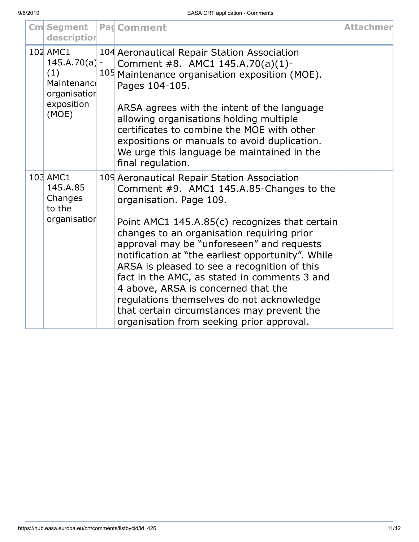| <b>Cm</b> Segment<br>description                                                         | <b>Pag Comment</b>                                                                                                                                                                                                                                                                                                                                                                                                                                                                                                                                                                                  | <b>Attachmer</b> |
|------------------------------------------------------------------------------------------|-----------------------------------------------------------------------------------------------------------------------------------------------------------------------------------------------------------------------------------------------------------------------------------------------------------------------------------------------------------------------------------------------------------------------------------------------------------------------------------------------------------------------------------------------------------------------------------------------------|------------------|
| 102 AMC1<br>$145.A.70(a) -$<br>(1)<br>Maintenance<br>organisatior<br>exposition<br>(MOE) | 104 Aeronautical Repair Station Association<br>Comment #8. AMC1 145.A.70(a)(1)-<br>105 Maintenance organisation exposition (MOE).<br>Pages 104-105.<br>ARSA agrees with the intent of the language<br>allowing organisations holding multiple<br>certificates to combine the MOE with other<br>expositions or manuals to avoid duplication.<br>We urge this language be maintained in the<br>final regulation.                                                                                                                                                                                      |                  |
| 103 AMC1<br>145.A.85<br>Changes<br>to the<br>organisatior                                | 109 Aeronautical Repair Station Association<br>Comment #9. AMC1 145.A.85-Changes to the<br>organisation. Page 109.<br>Point AMC1 145.A.85(c) recognizes that certain<br>changes to an organisation requiring prior<br>approval may be "unforeseen" and requests<br>notification at "the earliest opportunity". While<br>ARSA is pleased to see a recognition of this<br>fact in the AMC, as stated in comments 3 and<br>4 above, ARSA is concerned that the<br>regulations themselves do not acknowledge<br>that certain circumstances may prevent the<br>organisation from seeking prior approval. |                  |